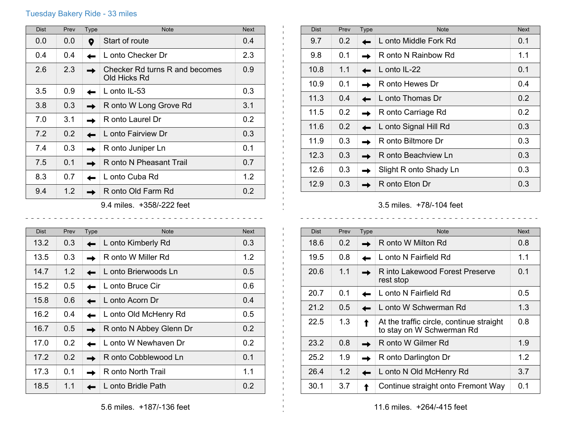## Tuesday Bakery Ride - 33 miles

| <b>Dist</b>                | Prev | Type | <b>Note</b>                                    | <b>Next</b> |
|----------------------------|------|------|------------------------------------------------|-------------|
| 0.0                        | 0.0  | 9    | Start of route                                 | 0.4         |
| 0.4                        | 0.4  |      | L onto Checker Dr                              | 2.3         |
| 2.6                        | 2.3  |      | Checker Rd turns R and becomes<br>Old Hicks Rd | 0.9         |
| 3.5                        | 0.9  |      | L onto IL-53                                   | 0.3         |
| 3.8                        | 0.3  |      | R onto W Long Grove Rd                         | 3.1         |
| 7.0                        | 3.1  |      | R onto Laurel Dr                               | 0.2         |
| 7.2                        | 0.2  |      | L onto Fairview Dr                             | 0.3         |
| 7.4                        | 0.3  |      | R onto Juniper Ln                              | 0.1         |
| 7.5                        | 0.1  |      | R onto N Pheasant Trail                        | 0.7         |
| 8.3                        | 0.7  |      | L onto Cuba Rd                                 | 1.2         |
| 9.4                        | 1.2  |      | R onto Old Farm Rd                             | 0.2         |
| 9.4 miles.  +358/-222 feet |      |      |                                                |             |

| <b>Dist</b> | Prev | Type | <b>Note</b>             | <b>Next</b>      |
|-------------|------|------|-------------------------|------------------|
| 13.2        | 0.3  |      | L onto Kimberly Rd      | 0.3              |
| 13.5        | 0.3  |      | R onto W Miller Rd      | 1.2              |
| 14.7        | 1.2  |      | L onto Brierwoods Ln    | $0.5^{\circ}$    |
| 15.2        | 0.5  |      | L onto Bruce Cir        | 0.6              |
| 15.8        | 0.6  |      | L onto Acorn Dr         | 0.4              |
| 16.2        | 0.4  |      | L onto Old McHenry Rd   | $0.5^{\circ}$    |
| 16.7        | 0.5  |      | R onto N Abbey Glenn Dr | 0.2              |
| 17.0        | 0.2  |      | L onto W Newhaven Dr    | 0.2 <sub>0</sub> |
| 17.2        | 0.2  |      | R onto Cobblewood Ln    | 0.1              |
| 17.3        | 0.1  |      | R onto North Trail      | 1.1              |
| 18.5        | 1.1  |      | L onto Bridle Path      | 0.2              |

| <b>Dist</b> | Prev | Type | <b>Note</b>            | <b>Next</b> |
|-------------|------|------|------------------------|-------------|
| 9.7         | 0.2  |      | L onto Middle Fork Rd  | 0.1         |
| 9.8         | 0.1  |      | R onto N Rainbow Rd    | 1.1         |
| 10.8        | 1.1  |      | L onto IL-22           | 0.1         |
| 10.9        | 0.1  |      | R onto Hewes Dr        | 0.4         |
| 11.3        | 0.4  |      | L onto Thomas Dr       | 0.2         |
| 11.5        | 0.2  |      | R onto Carriage Rd     | 0.2         |
| 11.6        | 0.2  |      | L onto Signal Hill Rd  | 0.3         |
| 11.9        | 0.3  |      | R onto Biltmore Dr     | 0.3         |
| 12.3        | 0.3  |      | R onto Beachview Ln    | 0.3         |
| 12.6        | 0.3  |      | Slight R onto Shady Ln | 0.3         |
| 12.9        | 0.3  |      | R onto Eton Dr         | 0.3         |

3.5 miles. +78/-104 feet

| <b>Dist</b> | Prev          | <b>Type</b> | <b>Note</b>                                                           | Next |
|-------------|---------------|-------------|-----------------------------------------------------------------------|------|
| 18.6        | $0.2^{\circ}$ |             | R onto W Milton Rd                                                    | 0.8  |
| 19.5        | 0.8           |             | L onto N Fairfield Rd                                                 | 1.1  |
| 20.6        | 1.1           |             | R into Lakewood Forest Preserve<br>rest stop                          | 0.1  |
| 20.7        | 0.1           |             | L onto N Fairfield Rd                                                 | 0.5  |
| 21.2        | 0.5           |             | L onto W Schwerman Rd                                                 | 1.3  |
| 22.5        | 1.3           |             | At the traffic circle, continue straight<br>to stay on W Schwerman Rd | 0.8  |
| 23.2        | 0.8           |             | R onto W Gilmer Rd                                                    | 1.9  |
| 25.2        | 1.9           |             | R onto Darlington Dr                                                  | 1.2  |
| 26.4        | 1.2           |             | L onto N Old McHenry Rd                                               | 3.7  |
| 30.1        | 3.7           |             | Continue straight onto Fremont Way                                    | 0.1  |

 $\mathbf{L}$